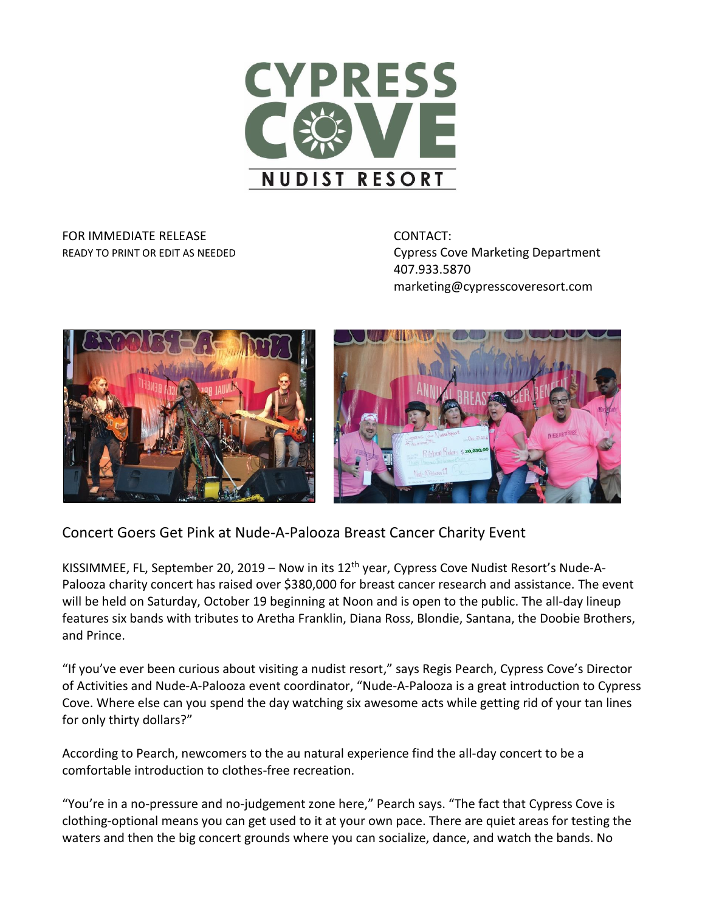

## FOR IMMEDIATE RELEASE **CONTACT:**

READY TO PRINT OR EDIT AS NEEDED **Cypress Cove Marketing Department** 407.933.5870 marketing@cypresscoveresort.com





Concert Goers Get Pink at Nude-A-Palooza Breast Cancer Charity Event

KISSIMMEE, FL, September 20, 2019 – Now in its 12<sup>th</sup> year, Cypress Cove Nudist Resort's Nude-A-Palooza charity concert has raised over \$380,000 for breast cancer research and assistance. The event will be held on Saturday, October 19 beginning at Noon and is open to the public. The all-day lineup features six bands with tributes to Aretha Franklin, Diana Ross, Blondie, Santana, the Doobie Brothers, and Prince.

"If you've ever been curious about visiting a nudist resort," says Regis Pearch, Cypress Cove's Director of Activities and Nude-A-Palooza event coordinator, "Nude-A-Palooza is a great introduction to Cypress Cove. Where else can you spend the day watching six awesome acts while getting rid of your tan lines for only thirty dollars?"

According to Pearch, newcomers to the au natural experience find the all-day concert to be a comfortable introduction to clothes-free recreation.

"You're in a no-pressure and no-judgement zone here," Pearch says. "The fact that Cypress Cove is clothing-optional means you can get used to it at your own pace. There are quiet areas for testing the waters and then the big concert grounds where you can socialize, dance, and watch the bands. No